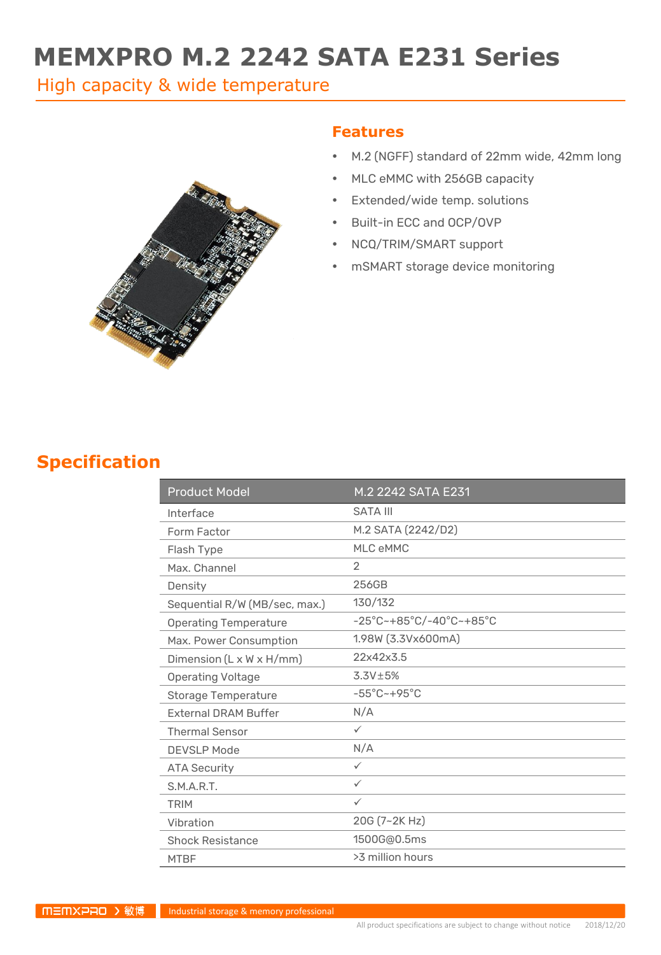# **MEMXPRO M.2 2242 SATA E231 Series**

High capacity & wide temperature



#### **Features**

- M.2 (NGFF) standard of 22mm wide, 42mm long
- MLC eMMC with 256GB capacity
- Extended/wide temp. solutions
- Built-in ECC and OCP/OVP
- NCQ/TRIM/SMART support
- mSMART storage device monitoring

#### **Specification**

| <b>Product Model</b>                 | M.2 2242 SATA E231                                                 |
|--------------------------------------|--------------------------------------------------------------------|
| Interface                            | <b>SATA III</b>                                                    |
| Form Factor                          | M.2 SATA (2242/D2)                                                 |
| Flash Type                           | MLC eMMC                                                           |
| Max. Channel                         | 2                                                                  |
| Density                              | 256GB                                                              |
| Sequential R/W (MB/sec, max.)        | 130/132                                                            |
| <b>Operating Temperature</b>         | $-25^{\circ}$ C~+85 $^{\circ}$ C/-40 $^{\circ}$ C~+85 $^{\circ}$ C |
| Max. Power Consumption               | 1.98W (3.3Vx600mA)                                                 |
| Dimension $(L \times W \times H/mm)$ | 22x42x3.5                                                          |
| <b>Operating Voltage</b>             | $3.3V \pm 5%$                                                      |
| <b>Storage Temperature</b>           | $-55^{\circ}$ C ~ +95 $^{\circ}$ C                                 |
| <b>External DRAM Buffer</b>          | N/A                                                                |
| <b>Thermal Sensor</b>                | $\checkmark$                                                       |
| <b>DEVSLP Mode</b>                   | N/A                                                                |
| <b>ATA Security</b>                  | ✓                                                                  |
| S.M.A.R.T.                           | $\checkmark$                                                       |
| <b>TRIM</b>                          | $\checkmark$                                                       |
| Vibration                            | 20G (7~2K Hz)                                                      |
| <b>Shock Resistance</b>              | 1500G@0.5ms                                                        |
| <b>MTBF</b>                          | >3 million hours                                                   |